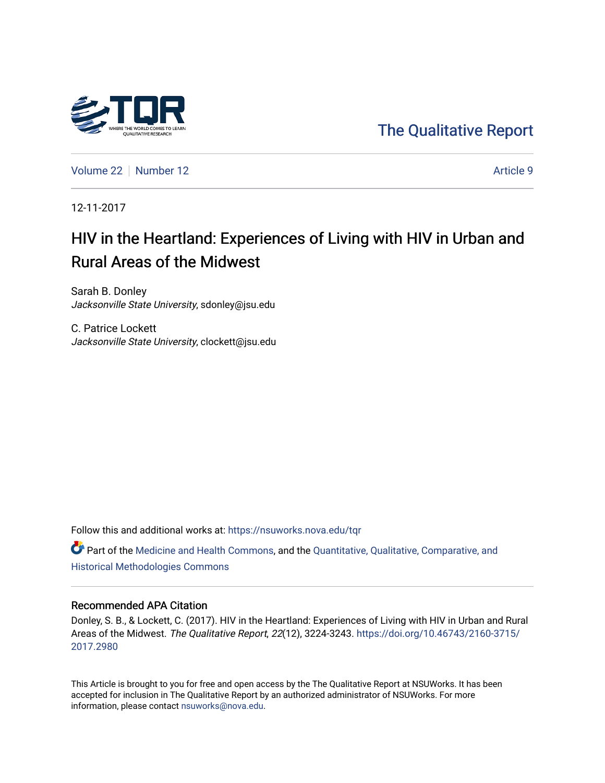

[The Qualitative Report](https://nsuworks.nova.edu/tqr) 

[Volume 22](https://nsuworks.nova.edu/tqr/vol22) [Number 12](https://nsuworks.nova.edu/tqr/vol22/iss12) Article 9

12-11-2017

## HIV in the Heartland: Experiences of Living with HIV in Urban and Rural Areas of the Midwest

Sarah B. Donley Jacksonville State University, sdonley@jsu.edu

C. Patrice Lockett Jacksonville State University, clockett@jsu.edu

Follow this and additional works at: [https://nsuworks.nova.edu/tqr](https://nsuworks.nova.edu/tqr?utm_source=nsuworks.nova.edu%2Ftqr%2Fvol22%2Fiss12%2F9&utm_medium=PDF&utm_campaign=PDFCoverPages) 

Part of the [Medicine and Health Commons](http://network.bepress.com/hgg/discipline/422?utm_source=nsuworks.nova.edu%2Ftqr%2Fvol22%2Fiss12%2F9&utm_medium=PDF&utm_campaign=PDFCoverPages), and the [Quantitative, Qualitative, Comparative, and](http://network.bepress.com/hgg/discipline/423?utm_source=nsuworks.nova.edu%2Ftqr%2Fvol22%2Fiss12%2F9&utm_medium=PDF&utm_campaign=PDFCoverPages) [Historical Methodologies Commons](http://network.bepress.com/hgg/discipline/423?utm_source=nsuworks.nova.edu%2Ftqr%2Fvol22%2Fiss12%2F9&utm_medium=PDF&utm_campaign=PDFCoverPages) 

#### Recommended APA Citation

Donley, S. B., & Lockett, C. (2017). HIV in the Heartland: Experiences of Living with HIV in Urban and Rural Areas of the Midwest. The Qualitative Report, 22(12), 3224-3243. [https://doi.org/10.46743/2160-3715/](https://doi.org/10.46743/2160-3715/2017.2980) [2017.2980](https://doi.org/10.46743/2160-3715/2017.2980) 

This Article is brought to you for free and open access by the The Qualitative Report at NSUWorks. It has been accepted for inclusion in The Qualitative Report by an authorized administrator of NSUWorks. For more information, please contact [nsuworks@nova.edu.](mailto:nsuworks@nova.edu)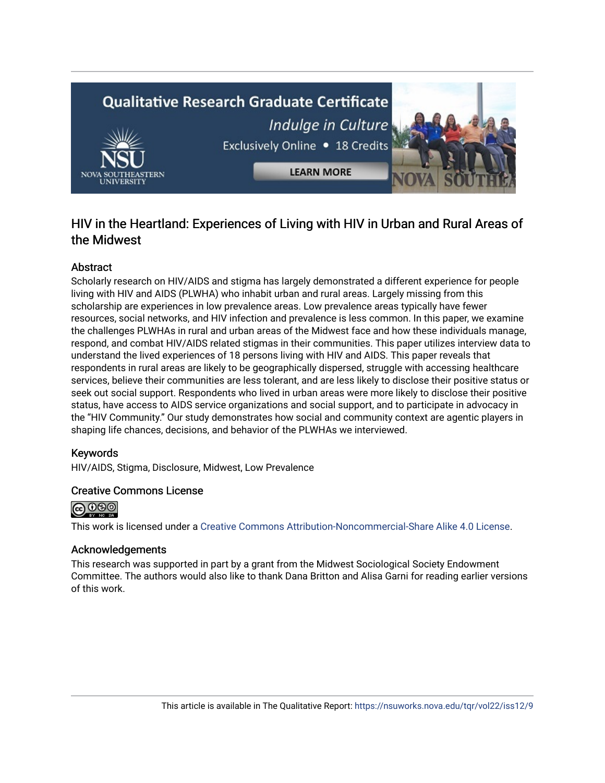# **Qualitative Research Graduate Certificate** Indulge in Culture Exclusively Online . 18 Credits **LEARN MORE**

## HIV in the Heartland: Experiences of Living with HIV in Urban and Rural Areas of the Midwest

### **Abstract**

Scholarly research on HIV/AIDS and stigma has largely demonstrated a different experience for people living with HIV and AIDS (PLWHA) who inhabit urban and rural areas. Largely missing from this scholarship are experiences in low prevalence areas. Low prevalence areas typically have fewer resources, social networks, and HIV infection and prevalence is less common. In this paper, we examine the challenges PLWHAs in rural and urban areas of the Midwest face and how these individuals manage, respond, and combat HIV/AIDS related stigmas in their communities. This paper utilizes interview data to understand the lived experiences of 18 persons living with HIV and AIDS. This paper reveals that respondents in rural areas are likely to be geographically dispersed, struggle with accessing healthcare services, believe their communities are less tolerant, and are less likely to disclose their positive status or seek out social support. Respondents who lived in urban areas were more likely to disclose their positive status, have access to AIDS service organizations and social support, and to participate in advocacy in the "HIV Community." Our study demonstrates how social and community context are agentic players in shaping life chances, decisions, and behavior of the PLWHAs we interviewed.

#### Keywords

HIV/AIDS, Stigma, Disclosure, Midwest, Low Prevalence

#### Creative Commons License



This work is licensed under a [Creative Commons Attribution-Noncommercial-Share Alike 4.0 License](https://creativecommons.org/licenses/by-nc-sa/4.0/).

#### Acknowledgements

This research was supported in part by a grant from the Midwest Sociological Society Endowment Committee. The authors would also like to thank Dana Britton and Alisa Garni for reading earlier versions of this work.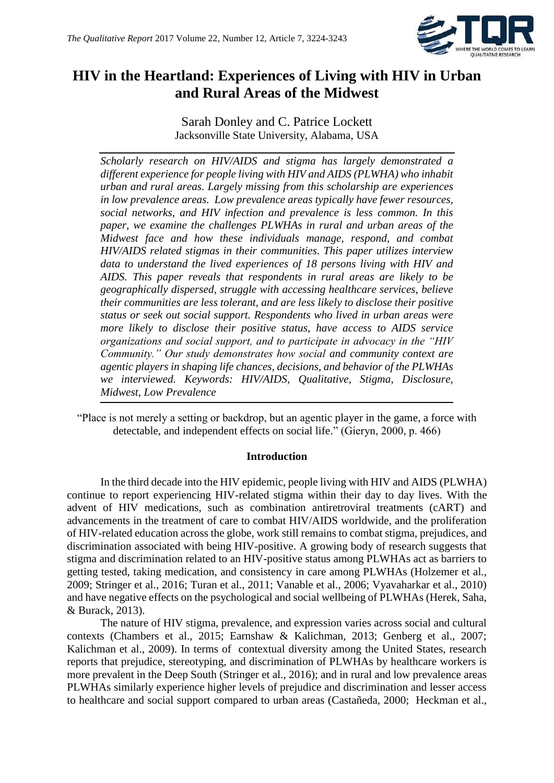

## **HIV in the Heartland: Experiences of Living with HIV in Urban and Rural Areas of the Midwest**

Sarah Donley and C. Patrice Lockett Jacksonville State University, Alabama, USA

*Scholarly research on HIV/AIDS and stigma has largely demonstrated a different experience for people living with HIV and AIDS (PLWHA) who inhabit urban and rural areas. Largely missing from this scholarship are experiences in low prevalence areas. Low prevalence areas typically have fewer resources, social networks, and HIV infection and prevalence is less common. In this paper, we examine the challenges PLWHAs in rural and urban areas of the Midwest face and how these individuals manage, respond, and combat HIV/AIDS related stigmas in their communities. This paper utilizes interview data to understand the lived experiences of 18 persons living with HIV and AIDS. This paper reveals that respondents in rural areas are likely to be geographically dispersed, struggle with accessing healthcare services, believe their communities are less tolerant, and are less likely to disclose their positive status or seek out social support. Respondents who lived in urban areas were more likely to disclose their positive status, have access to AIDS service organizations and social support, and to participate in advocacy in the "HIV Community." Our study demonstrates how social and community context are agentic players in shaping life chances, decisions, and behavior of the PLWHAs we interviewed. Keywords: HIV/AIDS, Qualitative, Stigma, Disclosure, Midwest, Low Prevalence*

"Place is not merely a setting or backdrop, but an agentic player in the game, a force with detectable, and independent effects on social life." (Gieryn, 2000, p. 466)

#### **Introduction**

In the third decade into the HIV epidemic, people living with HIV and AIDS (PLWHA) continue to report experiencing HIV-related stigma within their day to day lives. With the advent of HIV medications, such as combination antiretroviral treatments (cART) and advancements in the treatment of care to combat HIV/AIDS worldwide, and the proliferation of HIV-related education across the globe, work still remains to combat stigma, prejudices, and discrimination associated with being HIV-positive. A growing body of research suggests that stigma and discrimination related to an HIV-positive status among PLWHAs act as barriers to getting tested, taking medication, and consistency in care among PLWHAs (Holzemer et al., 2009; Stringer et al., 2016; Turan et al., 2011; Vanable et al., 2006; Vyavaharkar et al., 2010) and have negative effects on the psychological and social wellbeing of PLWHAs (Herek, Saha, & Burack, 2013).

The nature of HIV stigma, prevalence, and expression varies across social and cultural contexts (Chambers et al., 2015; Earnshaw & Kalichman, 2013; Genberg et al., 2007; Kalichman et al., 2009). In terms of contextual diversity among the United States, research reports that prejudice, stereotyping, and discrimination of PLWHAs by healthcare workers is more prevalent in the Deep South (Stringer et al., 2016); and in rural and low prevalence areas PLWHAs similarly experience higher levels of prejudice and discrimination and lesser access to healthcare and social support compared to urban areas (Castañeda, 2000; Heckman et al.,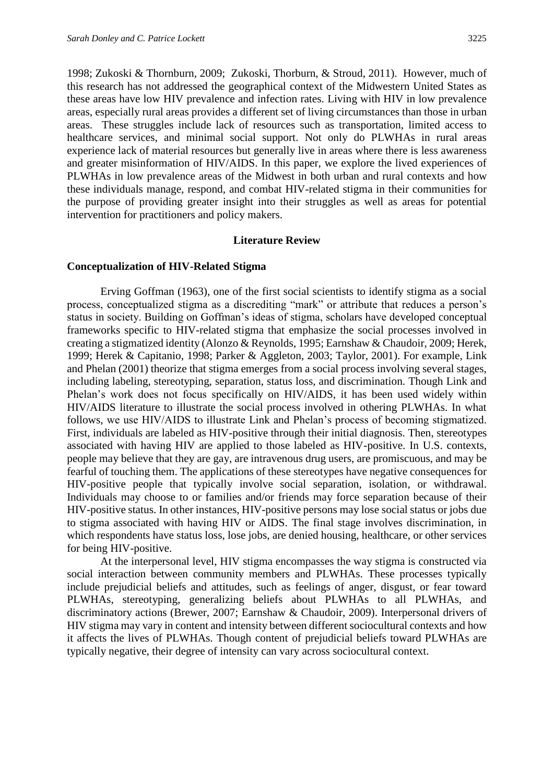1998; Zukoski & Thornburn, 2009; Zukoski, Thorburn, & Stroud, 2011). However, much of this research has not addressed the geographical context of the Midwestern United States as these areas have low HIV prevalence and infection rates. Living with HIV in low prevalence areas, especially rural areas provides a different set of living circumstances than those in urban areas. These struggles include lack of resources such as transportation, limited access to healthcare services, and minimal social support. Not only do PLWHAs in rural areas experience lack of material resources but generally live in areas where there is less awareness and greater misinformation of HIV/AIDS. In this paper, we explore the lived experiences of PLWHAs in low prevalence areas of the Midwest in both urban and rural contexts and how these individuals manage, respond, and combat HIV-related stigma in their communities for the purpose of providing greater insight into their struggles as well as areas for potential intervention for practitioners and policy makers.

#### **Literature Review**

#### **Conceptualization of HIV-Related Stigma**

Erving Goffman (1963), one of the first social scientists to identify stigma as a social process, conceptualized stigma as a discrediting "mark" or attribute that reduces a person's status in society. Building on Goffman's ideas of stigma, scholars have developed conceptual frameworks specific to HIV-related stigma that emphasize the social processes involved in creating a stigmatized identity (Alonzo & Reynolds, 1995; Earnshaw & Chaudoir, 2009; Herek, 1999; Herek & Capitanio, 1998; Parker & Aggleton, 2003; Taylor, 2001). For example, Link and Phelan (2001) theorize that stigma emerges from a social process involving several stages, including labeling, stereotyping, separation, status loss, and discrimination. Though Link and Phelan's work does not focus specifically on HIV/AIDS, it has been used widely within HIV/AIDS literature to illustrate the social process involved in othering PLWHAs. In what follows, we use HIV/AIDS to illustrate Link and Phelan's process of becoming stigmatized. First, individuals are labeled as HIV-positive through their initial diagnosis. Then, stereotypes associated with having HIV are applied to those labeled as HIV-positive. In U.S. contexts, people may believe that they are gay, are intravenous drug users, are promiscuous, and may be fearful of touching them. The applications of these stereotypes have negative consequences for HIV-positive people that typically involve social separation, isolation, or withdrawal. Individuals may choose to or families and/or friends may force separation because of their HIV-positive status. In other instances, HIV-positive persons may lose social status or jobs due to stigma associated with having HIV or AIDS. The final stage involves discrimination, in which respondents have status loss, lose jobs, are denied housing, healthcare, or other services for being HIV-positive.

At the interpersonal level, HIV stigma encompasses the way stigma is constructed via social interaction between community members and PLWHAs. These processes typically include prejudicial beliefs and attitudes, such as feelings of anger, disgust, or fear toward PLWHAs, stereotyping, generalizing beliefs about PLWHAs to all PLWHAs, and discriminatory actions (Brewer, 2007; Earnshaw & Chaudoir, 2009). Interpersonal drivers of HIV stigma may vary in content and intensity between different sociocultural contexts and how it affects the lives of PLWHAs. Though content of prejudicial beliefs toward PLWHAs are typically negative, their degree of intensity can vary across sociocultural context.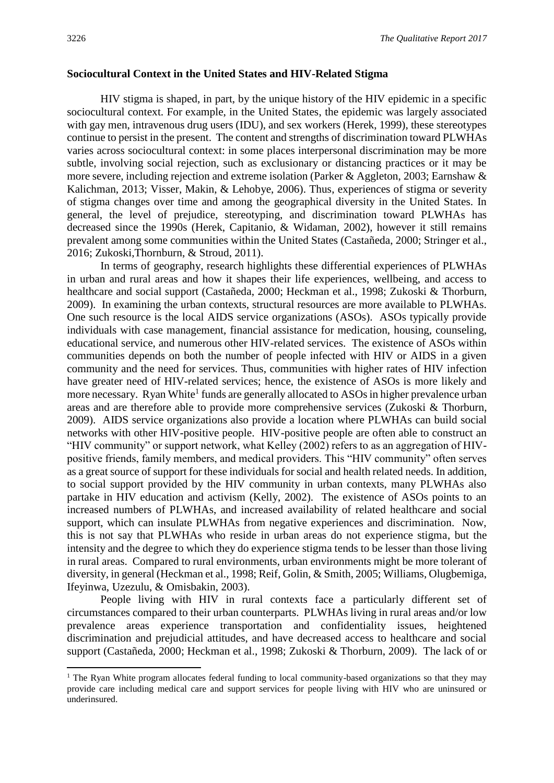#### **Sociocultural Context in the United States and HIV-Related Stigma**

HIV stigma is shaped, in part, by the unique history of the HIV epidemic in a specific sociocultural context. For example, in the United States, the epidemic was largely associated with gay men, intravenous drug users (IDU), and sex workers (Herek, 1999), these stereotypes continue to persist in the present. The content and strengths of discrimination toward PLWHAs varies across sociocultural context: in some places interpersonal discrimination may be more subtle, involving social rejection, such as exclusionary or distancing practices or it may be more severe, including rejection and extreme isolation (Parker & Aggleton, 2003; Earnshaw & Kalichman, 2013; Visser, Makin, & Lehobye, 2006). Thus, experiences of stigma or severity of stigma changes over time and among the geographical diversity in the United States. In general, the level of prejudice, stereotyping, and discrimination toward PLWHAs has decreased since the 1990s (Herek, Capitanio, & Widaman, 2002), however it still remains prevalent among some communities within the United States (Castañeda, 2000; Stringer et al., 2016; Zukoski,Thornburn, & Stroud, 2011).

In terms of geography, research highlights these differential experiences of PLWHAs in urban and rural areas and how it shapes their life experiences, wellbeing, and access to healthcare and social support (Castañeda, 2000; Heckman et al., 1998; Zukoski & Thorburn, 2009). In examining the urban contexts, structural resources are more available to PLWHAs. One such resource is the local AIDS service organizations (ASOs). ASOs typically provide individuals with case management, financial assistance for medication, housing, counseling, educational service, and numerous other HIV-related services. The existence of ASOs within communities depends on both the number of people infected with HIV or AIDS in a given community and the need for services. Thus, communities with higher rates of HIV infection have greater need of HIV-related services; hence, the existence of ASOs is more likely and more necessary. Ryan White<sup>1</sup> funds are generally allocated to ASOs in higher prevalence urban areas and are therefore able to provide more comprehensive services (Zukoski & Thorburn, 2009). AIDS service organizations also provide a location where PLWHAs can build social networks with other HIV-positive people. HIV-positive people are often able to construct an "HIV community" or support network, what Kelley (2002) refers to as an aggregation of HIVpositive friends, family members, and medical providers. This "HIV community" often serves as a great source of support for these individuals for social and health related needs. In addition, to social support provided by the HIV community in urban contexts, many PLWHAs also partake in HIV education and activism (Kelly, 2002). The existence of ASOs points to an increased numbers of PLWHAs, and increased availability of related healthcare and social support, which can insulate PLWHAs from negative experiences and discrimination. Now, this is not say that PLWHAs who reside in urban areas do not experience stigma, but the intensity and the degree to which they do experience stigma tends to be lesser than those living in rural areas. Compared to rural environments, urban environments might be more tolerant of diversity, in general (Heckman et al., 1998; Reif, Golin, & Smith, 2005; Williams, Olugbemiga, Ifeyinwa, Uzezulu, & Omisbakin, 2003).

People living with HIV in rural contexts face a particularly different set of circumstances compared to their urban counterparts. PLWHAs living in rural areas and/or low prevalence areas experience transportation and confidentiality issues, heightened discrimination and prejudicial attitudes, and have decreased access to healthcare and social support (Castañeda, 2000; Heckman et al., 1998; Zukoski & Thorburn, 2009). The lack of or

1

<sup>&</sup>lt;sup>1</sup> The Ryan White program allocates federal funding to local community-based organizations so that they may provide care including medical care and support services for people living with HIV who are uninsured or underinsured.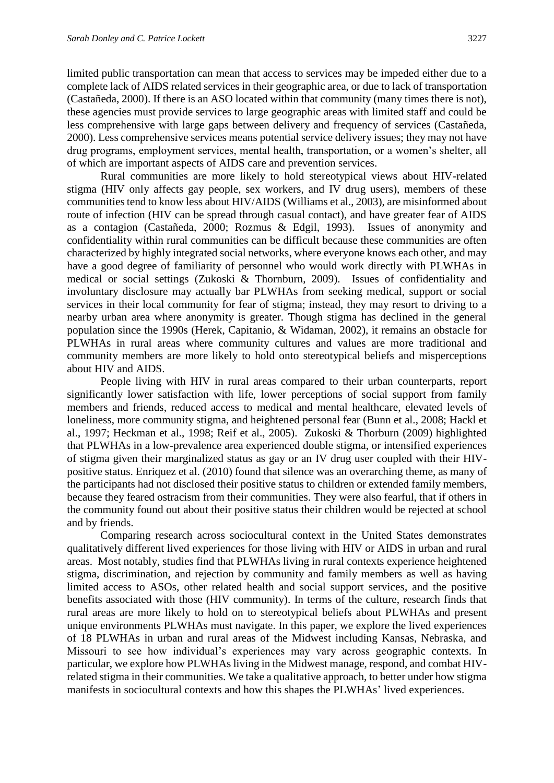limited public transportation can mean that access to services may be impeded either due to a complete lack of AIDS related services in their geographic area, or due to lack of transportation (Castañeda, 2000). If there is an ASO located within that community (many times there is not), these agencies must provide services to large geographic areas with limited staff and could be less comprehensive with large gaps between delivery and frequency of services (Castañeda, 2000). Less comprehensive services means potential service delivery issues; they may not have drug programs, employment services, mental health, transportation, or a women's shelter, all of which are important aspects of AIDS care and prevention services.

Rural communities are more likely to hold stereotypical views about HIV-related stigma (HIV only affects gay people, sex workers, and IV drug users), members of these communities tend to know less about HIV/AIDS (Williams et al., 2003), are misinformed about route of infection (HIV can be spread through casual contact), and have greater fear of AIDS as a contagion (Castañeda, 2000; Rozmus & Edgil, 1993). Issues of anonymity and confidentiality within rural communities can be difficult because these communities are often characterized by highly integrated social networks, where everyone knows each other, and may have a good degree of familiarity of personnel who would work directly with PLWHAs in medical or social settings (Zukoski & Thornburn, 2009). Issues of confidentiality and involuntary disclosure may actually bar PLWHAs from seeking medical, support or social services in their local community for fear of stigma; instead, they may resort to driving to a nearby urban area where anonymity is greater. Though stigma has declined in the general population since the 1990s (Herek, Capitanio, & Widaman, 2002), it remains an obstacle for PLWHAs in rural areas where community cultures and values are more traditional and community members are more likely to hold onto stereotypical beliefs and misperceptions about HIV and AIDS.

People living with HIV in rural areas compared to their urban counterparts, report significantly lower satisfaction with life, lower perceptions of social support from family members and friends, reduced access to medical and mental healthcare, elevated levels of loneliness, more community stigma, and heightened personal fear (Bunn et al., 2008; Hackl et al., 1997; Heckman et al., 1998; Reif et al., 2005). Zukoski & Thorburn (2009) highlighted that PLWHAs in a low-prevalence area experienced double stigma, or intensified experiences of stigma given their marginalized status as gay or an IV drug user coupled with their HIVpositive status. Enriquez et al. (2010) found that silence was an overarching theme, as many of the participants had not disclosed their positive status to children or extended family members, because they feared ostracism from their communities. They were also fearful, that if others in the community found out about their positive status their children would be rejected at school and by friends.

Comparing research across sociocultural context in the United States demonstrates qualitatively different lived experiences for those living with HIV or AIDS in urban and rural areas. Most notably, studies find that PLWHAs living in rural contexts experience heightened stigma, discrimination, and rejection by community and family members as well as having limited access to ASOs, other related health and social support services, and the positive benefits associated with those (HIV community). In terms of the culture, research finds that rural areas are more likely to hold on to stereotypical beliefs about PLWHAs and present unique environments PLWHAs must navigate. In this paper, we explore the lived experiences of 18 PLWHAs in urban and rural areas of the Midwest including Kansas, Nebraska, and Missouri to see how individual's experiences may vary across geographic contexts. In particular, we explore how PLWHAs living in the Midwest manage, respond, and combat HIVrelated stigma in their communities. We take a qualitative approach, to better under how stigma manifests in sociocultural contexts and how this shapes the PLWHAs' lived experiences.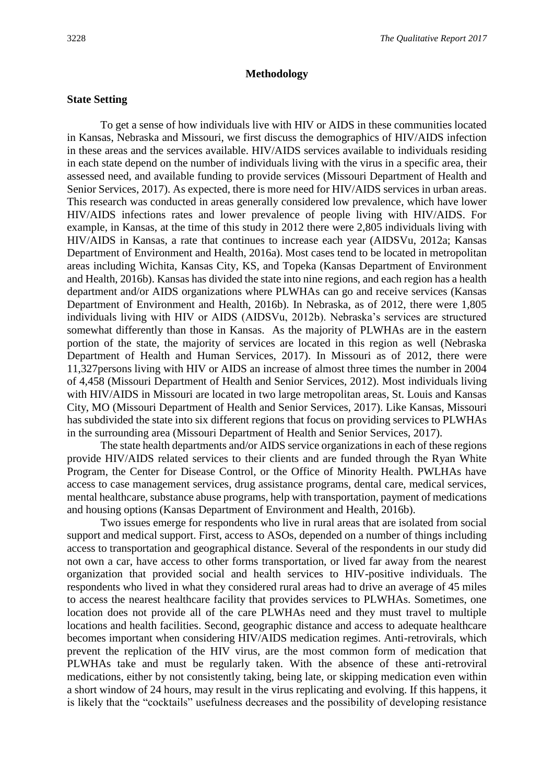#### **Methodology**

#### **State Setting**

To get a sense of how individuals live with HIV or AIDS in these communities located in Kansas, Nebraska and Missouri, we first discuss the demographics of HIV/AIDS infection in these areas and the services available. HIV/AIDS services available to individuals residing in each state depend on the number of individuals living with the virus in a specific area, their assessed need, and available funding to provide services (Missouri Department of Health and Senior Services, 2017). As expected, there is more need for HIV/AIDS services in urban areas. This research was conducted in areas generally considered low prevalence, which have lower HIV/AIDS infections rates and lower prevalence of people living with HIV/AIDS. For example, in Kansas, at the time of this study in 2012 there were 2,805 individuals living with HIV/AIDS in Kansas, a rate that continues to increase each year (AIDSVu, 2012a; Kansas Department of Environment and Health, 2016a). Most cases tend to be located in metropolitan areas including Wichita, Kansas City, KS, and Topeka (Kansas Department of Environment and Health, 2016b). Kansas has divided the state into nine regions, and each region has a health department and/or AIDS organizations where PLWHAs can go and receive services (Kansas Department of Environment and Health, 2016b). In Nebraska, as of 2012, there were 1,805 individuals living with HIV or AIDS (AIDSVu, 2012b). Nebraska's services are structured somewhat differently than those in Kansas. As the majority of PLWHAs are in the eastern portion of the state, the majority of services are located in this region as well (Nebraska Department of Health and Human Services, 2017). In Missouri as of 2012, there were 11,327persons living with HIV or AIDS an increase of almost three times the number in 2004 of 4,458 (Missouri Department of Health and Senior Services, 2012). Most individuals living with HIV/AIDS in Missouri are located in two large metropolitan areas, St. Louis and Kansas City, MO (Missouri Department of Health and Senior Services, 2017). Like Kansas, Missouri has subdivided the state into six different regions that focus on providing services to PLWHAs in the surrounding area (Missouri Department of Health and Senior Services, 2017).

The state health departments and/or AIDS service organizations in each of these regions provide HIV/AIDS related services to their clients and are funded through the Ryan White Program, the Center for Disease Control, or the Office of Minority Health. PWLHAs have access to case management services, drug assistance programs, dental care, medical services, mental healthcare, substance abuse programs, help with transportation, payment of medications and housing options (Kansas Department of Environment and Health, 2016b).

Two issues emerge for respondents who live in rural areas that are isolated from social support and medical support. First, access to ASOs, depended on a number of things including access to transportation and geographical distance. Several of the respondents in our study did not own a car, have access to other forms transportation, or lived far away from the nearest organization that provided social and health services to HIV-positive individuals. The respondents who lived in what they considered rural areas had to drive an average of 45 miles to access the nearest healthcare facility that provides services to PLWHAs. Sometimes, one location does not provide all of the care PLWHAs need and they must travel to multiple locations and health facilities. Second, geographic distance and access to adequate healthcare becomes important when considering HIV/AIDS medication regimes. Anti-retrovirals, which prevent the replication of the HIV virus, are the most common form of medication that PLWHAs take and must be regularly taken. With the absence of these anti-retroviral medications, either by not consistently taking, being late, or skipping medication even within a short window of 24 hours, may result in the virus replicating and evolving. If this happens, it is likely that the "cocktails" usefulness decreases and the possibility of developing resistance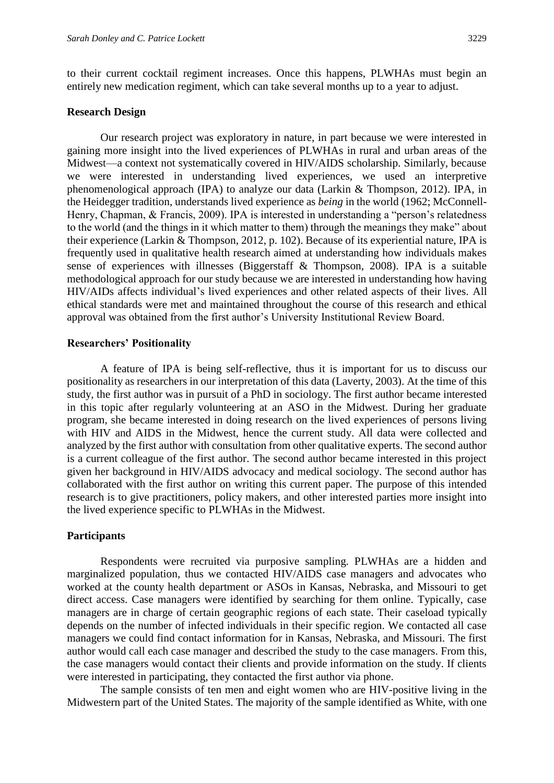to their current cocktail regiment increases. Once this happens, PLWHAs must begin an entirely new medication regiment, which can take several months up to a year to adjust.

#### **Research Design**

Our research project was exploratory in nature, in part because we were interested in gaining more insight into the lived experiences of PLWHAs in rural and urban areas of the Midwest—a context not systematically covered in HIV/AIDS scholarship. Similarly, because we were interested in understanding lived experiences, we used an interpretive phenomenological approach (IPA) to analyze our data (Larkin & Thompson, 2012). IPA, in the Heidegger tradition, understands lived experience as *being* in the world (1962; McConnell-Henry, Chapman, & Francis, 2009). IPA is interested in understanding a "person's relatedness to the world (and the things in it which matter to them) through the meanings they make" about their experience (Larkin & Thompson, 2012, p. 102). Because of its experiential nature, IPA is frequently used in qualitative health research aimed at understanding how individuals makes sense of experiences with illnesses (Biggerstaff & Thompson, 2008). IPA is a suitable methodological approach for our study because we are interested in understanding how having HIV/AIDs affects individual's lived experiences and other related aspects of their lives. All ethical standards were met and maintained throughout the course of this research and ethical approval was obtained from the first author's University Institutional Review Board.

#### **Researchers' Positionality**

A feature of IPA is being self-reflective, thus it is important for us to discuss our positionality as researchers in our interpretation of this data (Laverty, 2003). At the time of this study, the first author was in pursuit of a PhD in sociology. The first author became interested in this topic after regularly volunteering at an ASO in the Midwest. During her graduate program, she became interested in doing research on the lived experiences of persons living with HIV and AIDS in the Midwest, hence the current study. All data were collected and analyzed by the first author with consultation from other qualitative experts. The second author is a current colleague of the first author. The second author became interested in this project given her background in HIV/AIDS advocacy and medical sociology. The second author has collaborated with the first author on writing this current paper. The purpose of this intended research is to give practitioners, policy makers, and other interested parties more insight into the lived experience specific to PLWHAs in the Midwest.

#### **Participants**

Respondents were recruited via purposive sampling. PLWHAs are a hidden and marginalized population, thus we contacted HIV/AIDS case managers and advocates who worked at the county health department or ASOs in Kansas, Nebraska, and Missouri to get direct access. Case managers were identified by searching for them online. Typically, case managers are in charge of certain geographic regions of each state. Their caseload typically depends on the number of infected individuals in their specific region. We contacted all case managers we could find contact information for in Kansas, Nebraska, and Missouri. The first author would call each case manager and described the study to the case managers. From this, the case managers would contact their clients and provide information on the study. If clients were interested in participating, they contacted the first author via phone.

The sample consists of ten men and eight women who are HIV-positive living in the Midwestern part of the United States. The majority of the sample identified as White, with one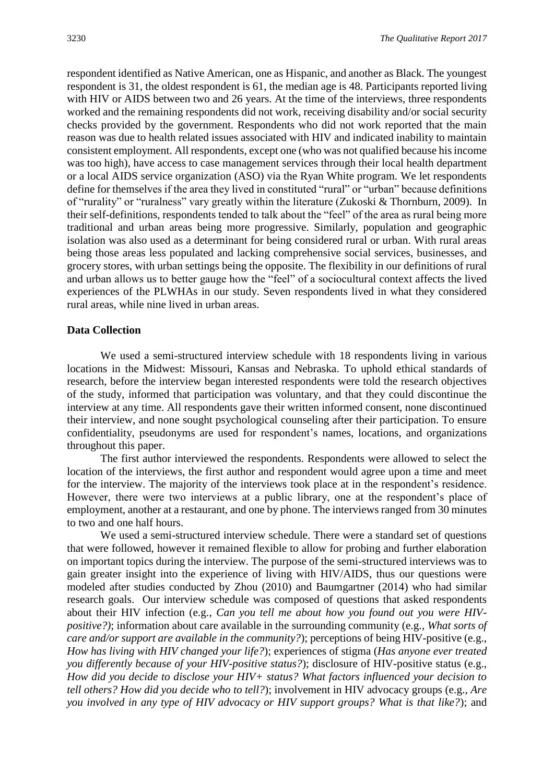respondent identified as Native American, one as Hispanic, and another as Black. The youngest respondent is 31, the oldest respondent is 61, the median age is 48. Participants reported living with HIV or AIDS between two and 26 years. At the time of the interviews, three respondents worked and the remaining respondents did not work, receiving disability and/or social security checks provided by the government. Respondents who did not work reported that the main reason was due to health related issues associated with HIV and indicated inability to maintain consistent employment. All respondents, except one (who was not qualified because his income was too high), have access to case management services through their local health department or a local AIDS service organization (ASO) via the Ryan White program. We let respondents define for themselves if the area they lived in constituted "rural" or "urban" because definitions of "rurality" or "ruralness" vary greatly within the literature (Zukoski & Thornburn, 2009). In their self-definitions, respondents tended to talk about the "feel" of the area as rural being more traditional and urban areas being more progressive. Similarly, population and geographic isolation was also used as a determinant for being considered rural or urban. With rural areas being those areas less populated and lacking comprehensive social services, businesses, and grocery stores, with urban settings being the opposite. The flexibility in our definitions of rural and urban allows us to better gauge how the "feel" of a sociocultural context affects the lived experiences of the PLWHAs in our study. Seven respondents lived in what they considered rural areas, while nine lived in urban areas.

#### **Data Collection**

We used a semi-structured interview schedule with 18 respondents living in various locations in the Midwest: Missouri, Kansas and Nebraska. To uphold ethical standards of research, before the interview began interested respondents were told the research objectives of the study, informed that participation was voluntary, and that they could discontinue the interview at any time. All respondents gave their written informed consent, none discontinued their interview, and none sought psychological counseling after their participation. To ensure confidentiality, pseudonyms are used for respondent's names, locations, and organizations throughout this paper.

The first author interviewed the respondents. Respondents were allowed to select the location of the interviews, the first author and respondent would agree upon a time and meet for the interview. The majority of the interviews took place at in the respondent's residence. However, there were two interviews at a public library, one at the respondent's place of employment, another at a restaurant, and one by phone. The interviews ranged from 30 minutes to two and one half hours.

We used a semi-structured interview schedule. There were a standard set of questions that were followed, however it remained flexible to allow for probing and further elaboration on important topics during the interview. The purpose of the semi-structured interviews was to gain greater insight into the experience of living with HIV/AIDS, thus our questions were modeled after studies conducted by Zhou (2010) and Baumgartner (2014) who had similar research goals. Our interview schedule was composed of questions that asked respondents about their HIV infection (e.g., *Can you tell me about how you found out you were HIVpositive?)*; information about care available in the surrounding community (e.g., *What sorts of care and/or support are available in the community?*); perceptions of being HIV-positive (e.g., *How has living with HIV changed your life?*); experiences of stigma (*Has anyone ever treated you differently because of your HIV-positive status?*); disclosure of HIV-positive status (e.g., *How did you decide to disclose your HIV+ status? What factors influenced your decision to tell others? How did you decide who to tell?*); involvement in HIV advocacy groups (e.g., *Are you involved in any type of HIV advocacy or HIV support groups? What is that like?*); and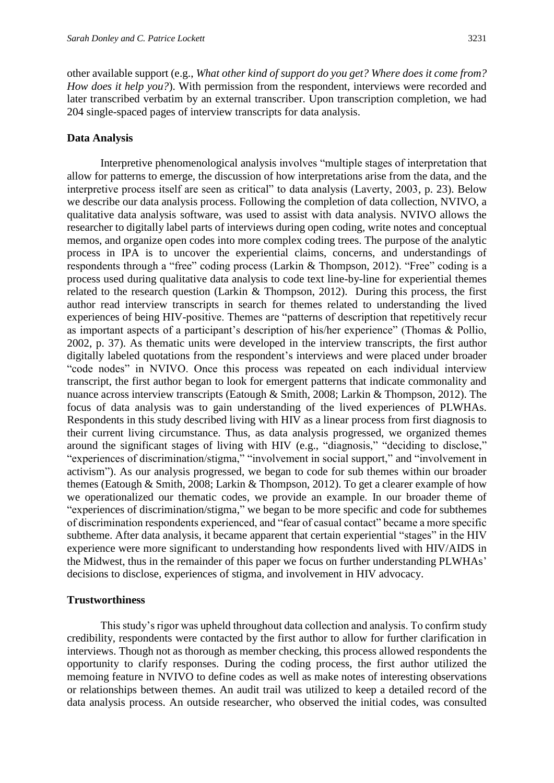other available support (e.g., *What other kind of support do you get? Where does it come from? How does it help you?*). With permission from the respondent, interviews were recorded and later transcribed verbatim by an external transcriber. Upon transcription completion, we had 204 single-spaced pages of interview transcripts for data analysis.

#### **Data Analysis**

Interpretive phenomenological analysis involves "multiple stages of interpretation that allow for patterns to emerge, the discussion of how interpretations arise from the data, and the interpretive process itself are seen as critical" to data analysis (Laverty, 2003, p. 23). Below we describe our data analysis process. Following the completion of data collection, NVIVO, a qualitative data analysis software, was used to assist with data analysis. NVIVO allows the researcher to digitally label parts of interviews during open coding, write notes and conceptual memos, and organize open codes into more complex coding trees. The purpose of the analytic process in IPA is to uncover the experiential claims, concerns, and understandings of respondents through a "free" coding process (Larkin & Thompson, 2012). "Free" coding is a process used during qualitative data analysis to code text line-by-line for experiential themes related to the research question (Larkin & Thompson, 2012). During this process, the first author read interview transcripts in search for themes related to understanding the lived experiences of being HIV-positive. Themes are "patterns of description that repetitively recur as important aspects of a participant's description of his/her experience" (Thomas & Pollio, 2002, p. 37). As thematic units were developed in the interview transcripts, the first author digitally labeled quotations from the respondent's interviews and were placed under broader "code nodes" in NVIVO. Once this process was repeated on each individual interview transcript, the first author began to look for emergent patterns that indicate commonality and nuance across interview transcripts (Eatough & Smith, 2008; Larkin & Thompson, 2012). The focus of data analysis was to gain understanding of the lived experiences of PLWHAs. Respondents in this study described living with HIV as a linear process from first diagnosis to their current living circumstance. Thus, as data analysis progressed, we organized themes around the significant stages of living with HIV (e.g., "diagnosis," "deciding to disclose," "experiences of discrimination/stigma," "involvement in social support," and "involvement in activism"). As our analysis progressed, we began to code for sub themes within our broader themes (Eatough & Smith, 2008; Larkin & Thompson, 2012). To get a clearer example of how we operationalized our thematic codes, we provide an example. In our broader theme of "experiences of discrimination/stigma," we began to be more specific and code for subthemes of discrimination respondents experienced, and "fear of casual contact" became a more specific subtheme. After data analysis, it became apparent that certain experiential "stages" in the HIV experience were more significant to understanding how respondents lived with HIV/AIDS in the Midwest, thus in the remainder of this paper we focus on further understanding PLWHAs' decisions to disclose, experiences of stigma, and involvement in HIV advocacy.

#### **Trustworthiness**

This study's rigor was upheld throughout data collection and analysis. To confirm study credibility, respondents were contacted by the first author to allow for further clarification in interviews. Though not as thorough as member checking, this process allowed respondents the opportunity to clarify responses. During the coding process, the first author utilized the memoing feature in NVIVO to define codes as well as make notes of interesting observations or relationships between themes. An audit trail was utilized to keep a detailed record of the data analysis process. An outside researcher, who observed the initial codes, was consulted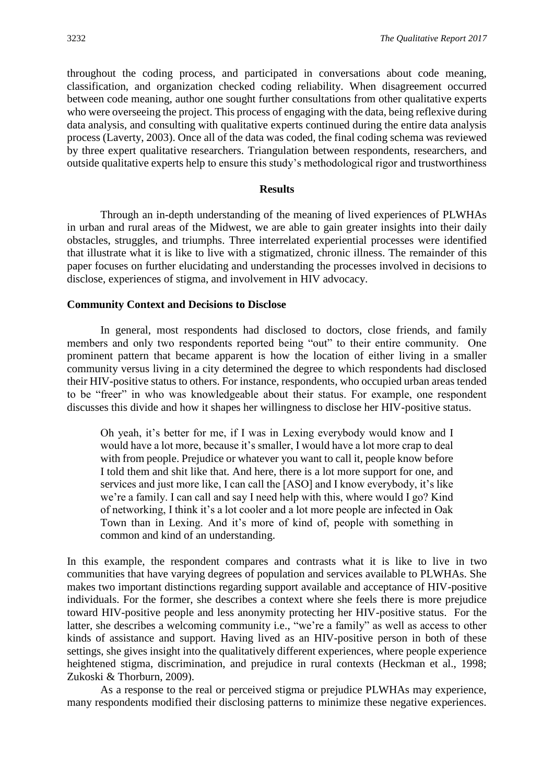throughout the coding process, and participated in conversations about code meaning, classification, and organization checked coding reliability. When disagreement occurred between code meaning, author one sought further consultations from other qualitative experts who were overseeing the project. This process of engaging with the data, being reflexive during data analysis, and consulting with qualitative experts continued during the entire data analysis process (Laverty, 2003). Once all of the data was coded, the final coding schema was reviewed by three expert qualitative researchers. Triangulation between respondents, researchers, and outside qualitative experts help to ensure this study's methodological rigor and trustworthiness

#### **Results**

Through an in-depth understanding of the meaning of lived experiences of PLWHAs in urban and rural areas of the Midwest, we are able to gain greater insights into their daily obstacles, struggles, and triumphs. Three interrelated experiential processes were identified that illustrate what it is like to live with a stigmatized, chronic illness. The remainder of this paper focuses on further elucidating and understanding the processes involved in decisions to disclose, experiences of stigma, and involvement in HIV advocacy.

#### **Community Context and Decisions to Disclose**

In general, most respondents had disclosed to doctors, close friends, and family members and only two respondents reported being "out" to their entire community. One prominent pattern that became apparent is how the location of either living in a smaller community versus living in a city determined the degree to which respondents had disclosed their HIV-positive status to others. For instance, respondents, who occupied urban areas tended to be "freer" in who was knowledgeable about their status. For example, one respondent discusses this divide and how it shapes her willingness to disclose her HIV-positive status.

Oh yeah, it's better for me, if I was in Lexing everybody would know and I would have a lot more, because it's smaller, I would have a lot more crap to deal with from people. Prejudice or whatever you want to call it, people know before I told them and shit like that. And here, there is a lot more support for one, and services and just more like, I can call the [ASO] and I know everybody, it's like we're a family. I can call and say I need help with this, where would I go? Kind of networking, I think it's a lot cooler and a lot more people are infected in Oak Town than in Lexing. And it's more of kind of, people with something in common and kind of an understanding.

In this example, the respondent compares and contrasts what it is like to live in two communities that have varying degrees of population and services available to PLWHAs. She makes two important distinctions regarding support available and acceptance of HIV-positive individuals. For the former, she describes a context where she feels there is more prejudice toward HIV-positive people and less anonymity protecting her HIV-positive status. For the latter, she describes a welcoming community i.e., "we're a family" as well as access to other kinds of assistance and support. Having lived as an HIV-positive person in both of these settings, she gives insight into the qualitatively different experiences, where people experience heightened stigma, discrimination, and prejudice in rural contexts (Heckman et al., 1998; Zukoski & Thorburn, 2009).

As a response to the real or perceived stigma or prejudice PLWHAs may experience, many respondents modified their disclosing patterns to minimize these negative experiences.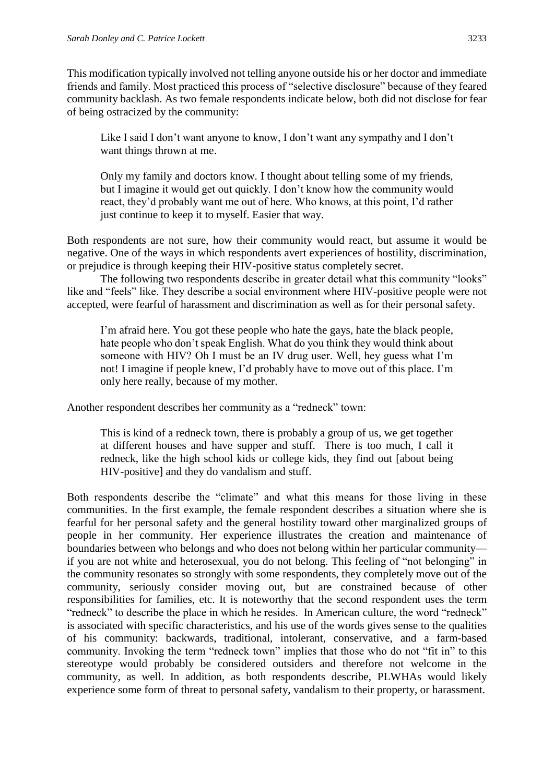This modification typically involved not telling anyone outside his or her doctor and immediate friends and family. Most practiced this process of "selective disclosure" because of they feared community backlash. As two female respondents indicate below, both did not disclose for fear of being ostracized by the community:

Like I said I don't want anyone to know, I don't want any sympathy and I don't want things thrown at me.

Only my family and doctors know. I thought about telling some of my friends, but I imagine it would get out quickly. I don't know how the community would react, they'd probably want me out of here. Who knows, at this point, I'd rather just continue to keep it to myself. Easier that way.

Both respondents are not sure, how their community would react, but assume it would be negative. One of the ways in which respondents avert experiences of hostility, discrimination, or prejudice is through keeping their HIV-positive status completely secret.

The following two respondents describe in greater detail what this community "looks" like and "feels" like. They describe a social environment where HIV-positive people were not accepted, were fearful of harassment and discrimination as well as for their personal safety.

I'm afraid here. You got these people who hate the gays, hate the black people, hate people who don't speak English. What do you think they would think about someone with HIV? Oh I must be an IV drug user. Well, hey guess what I'm not! I imagine if people knew, I'd probably have to move out of this place. I'm only here really, because of my mother.

Another respondent describes her community as a "redneck" town:

This is kind of a redneck town, there is probably a group of us, we get together at different houses and have supper and stuff. There is too much, I call it redneck, like the high school kids or college kids, they find out [about being HIV-positive] and they do vandalism and stuff.

Both respondents describe the "climate" and what this means for those living in these communities. In the first example, the female respondent describes a situation where she is fearful for her personal safety and the general hostility toward other marginalized groups of people in her community. Her experience illustrates the creation and maintenance of boundaries between who belongs and who does not belong within her particular community if you are not white and heterosexual, you do not belong. This feeling of "not belonging" in the community resonates so strongly with some respondents, they completely move out of the community, seriously consider moving out, but are constrained because of other responsibilities for families, etc. It is noteworthy that the second respondent uses the term "redneck" to describe the place in which he resides. In American culture, the word "redneck" is associated with specific characteristics, and his use of the words gives sense to the qualities of his community: backwards, traditional, intolerant, conservative, and a farm-based community. Invoking the term "redneck town" implies that those who do not "fit in" to this stereotype would probably be considered outsiders and therefore not welcome in the community, as well. In addition, as both respondents describe, PLWHAs would likely experience some form of threat to personal safety, vandalism to their property, or harassment.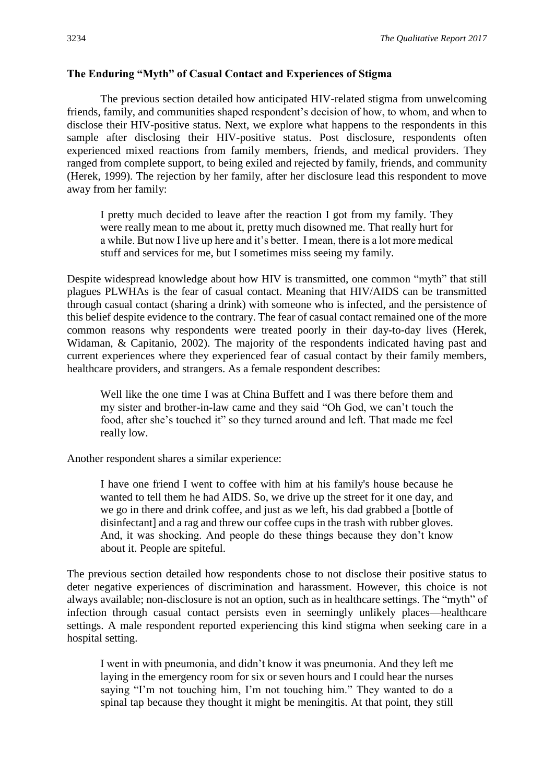#### **The Enduring "Myth" of Casual Contact and Experiences of Stigma**

The previous section detailed how anticipated HIV-related stigma from unwelcoming friends, family, and communities shaped respondent's decision of how, to whom, and when to disclose their HIV-positive status. Next, we explore what happens to the respondents in this sample after disclosing their HIV-positive status. Post disclosure, respondents often experienced mixed reactions from family members, friends, and medical providers. They ranged from complete support, to being exiled and rejected by family, friends, and community (Herek, 1999). The rejection by her family, after her disclosure lead this respondent to move away from her family:

I pretty much decided to leave after the reaction I got from my family. They were really mean to me about it, pretty much disowned me. That really hurt for a while. But now I live up here and it's better. I mean, there is a lot more medical stuff and services for me, but I sometimes miss seeing my family.

Despite widespread knowledge about how HIV is transmitted, one common "myth" that still plagues PLWHAs is the fear of casual contact. Meaning that HIV/AIDS can be transmitted through casual contact (sharing a drink) with someone who is infected, and the persistence of this belief despite evidence to the contrary. The fear of casual contact remained one of the more common reasons why respondents were treated poorly in their day-to-day lives (Herek, Widaman, & Capitanio, 2002). The majority of the respondents indicated having past and current experiences where they experienced fear of casual contact by their family members, healthcare providers, and strangers. As a female respondent describes:

Well like the one time I was at China Buffett and I was there before them and my sister and brother-in-law came and they said "Oh God, we can't touch the food, after she's touched it" so they turned around and left. That made me feel really low.

Another respondent shares a similar experience:

I have one friend I went to coffee with him at his family's house because he wanted to tell them he had AIDS. So, we drive up the street for it one day, and we go in there and drink coffee, and just as we left, his dad grabbed a [bottle of disinfectant] and a rag and threw our coffee cups in the trash with rubber gloves. And, it was shocking. And people do these things because they don't know about it. People are spiteful.

The previous section detailed how respondents chose to not disclose their positive status to deter negative experiences of discrimination and harassment. However, this choice is not always available; non-disclosure is not an option, such as in healthcare settings. The "myth" of infection through casual contact persists even in seemingly unlikely places—healthcare settings. A male respondent reported experiencing this kind stigma when seeking care in a hospital setting.

I went in with pneumonia, and didn't know it was pneumonia. And they left me laying in the emergency room for six or seven hours and I could hear the nurses saying "I'm not touching him, I'm not touching him." They wanted to do a spinal tap because they thought it might be meningitis. At that point, they still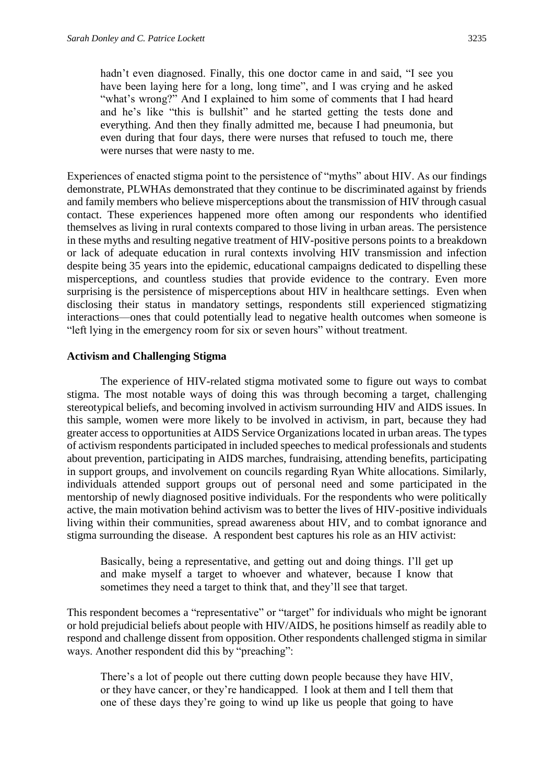hadn't even diagnosed. Finally, this one doctor came in and said, "I see you have been laying here for a long, long time", and I was crying and he asked "what's wrong?" And I explained to him some of comments that I had heard and he's like "this is bullshit" and he started getting the tests done and everything. And then they finally admitted me, because I had pneumonia, but even during that four days, there were nurses that refused to touch me, there were nurses that were nasty to me.

Experiences of enacted stigma point to the persistence of "myths" about HIV. As our findings demonstrate, PLWHAs demonstrated that they continue to be discriminated against by friends and family members who believe misperceptions about the transmission of HIV through casual contact. These experiences happened more often among our respondents who identified themselves as living in rural contexts compared to those living in urban areas. The persistence in these myths and resulting negative treatment of HIV-positive persons points to a breakdown or lack of adequate education in rural contexts involving HIV transmission and infection despite being 35 years into the epidemic, educational campaigns dedicated to dispelling these misperceptions, and countless studies that provide evidence to the contrary. Even more surprising is the persistence of misperceptions about HIV in healthcare settings. Even when disclosing their status in mandatory settings, respondents still experienced stigmatizing interactions—ones that could potentially lead to negative health outcomes when someone is "left lying in the emergency room for six or seven hours" without treatment.

#### **Activism and Challenging Stigma**

The experience of HIV-related stigma motivated some to figure out ways to combat stigma. The most notable ways of doing this was through becoming a target, challenging stereotypical beliefs, and becoming involved in activism surrounding HIV and AIDS issues. In this sample, women were more likely to be involved in activism, in part, because they had greater access to opportunities at AIDS Service Organizations located in urban areas. The types of activism respondents participated in included speeches to medical professionals and students about prevention, participating in AIDS marches, fundraising, attending benefits, participating in support groups, and involvement on councils regarding Ryan White allocations. Similarly, individuals attended support groups out of personal need and some participated in the mentorship of newly diagnosed positive individuals. For the respondents who were politically active, the main motivation behind activism was to better the lives of HIV-positive individuals living within their communities, spread awareness about HIV, and to combat ignorance and stigma surrounding the disease. A respondent best captures his role as an HIV activist:

Basically, being a representative, and getting out and doing things. I'll get up and make myself a target to whoever and whatever, because I know that sometimes they need a target to think that, and they'll see that target.

This respondent becomes a "representative" or "target" for individuals who might be ignorant or hold prejudicial beliefs about people with HIV/AIDS, he positions himself as readily able to respond and challenge dissent from opposition. Other respondents challenged stigma in similar ways. Another respondent did this by "preaching":

There's a lot of people out there cutting down people because they have HIV, or they have cancer, or they're handicapped. I look at them and I tell them that one of these days they're going to wind up like us people that going to have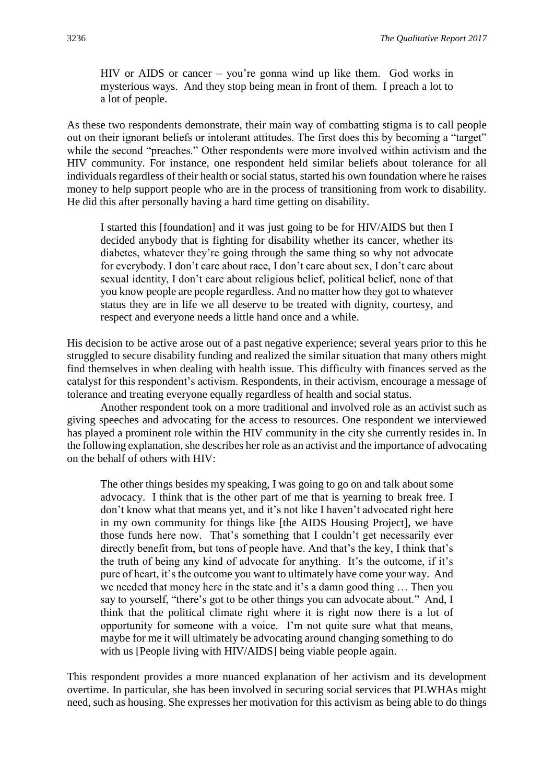HIV or AIDS or cancer – you're gonna wind up like them. God works in mysterious ways. And they stop being mean in front of them. I preach a lot to a lot of people.

As these two respondents demonstrate, their main way of combatting stigma is to call people out on their ignorant beliefs or intolerant attitudes. The first does this by becoming a "target" while the second "preaches." Other respondents were more involved within activism and the HIV community. For instance, one respondent held similar beliefs about tolerance for all individuals regardless of their health or social status, started his own foundation where he raises money to help support people who are in the process of transitioning from work to disability. He did this after personally having a hard time getting on disability.

I started this [foundation] and it was just going to be for HIV/AIDS but then I decided anybody that is fighting for disability whether its cancer, whether its diabetes, whatever they're going through the same thing so why not advocate for everybody. I don't care about race, I don't care about sex, I don't care about sexual identity, I don't care about religious belief, political belief, none of that you know people are people regardless. And no matter how they got to whatever status they are in life we all deserve to be treated with dignity, courtesy, and respect and everyone needs a little hand once and a while.

His decision to be active arose out of a past negative experience; several years prior to this he struggled to secure disability funding and realized the similar situation that many others might find themselves in when dealing with health issue. This difficulty with finances served as the catalyst for this respondent's activism. Respondents, in their activism, encourage a message of tolerance and treating everyone equally regardless of health and social status.

Another respondent took on a more traditional and involved role as an activist such as giving speeches and advocating for the access to resources. One respondent we interviewed has played a prominent role within the HIV community in the city she currently resides in. In the following explanation, she describes her role as an activist and the importance of advocating on the behalf of others with HIV:

The other things besides my speaking, I was going to go on and talk about some advocacy. I think that is the other part of me that is yearning to break free. I don't know what that means yet, and it's not like I haven't advocated right here in my own community for things like [the AIDS Housing Project], we have those funds here now. That's something that I couldn't get necessarily ever directly benefit from, but tons of people have. And that's the key, I think that's the truth of being any kind of advocate for anything. It's the outcome, if it's pure of heart, it's the outcome you want to ultimately have come your way. And we needed that money here in the state and it's a damn good thing … Then you say to yourself, "there's got to be other things you can advocate about." And, I think that the political climate right where it is right now there is a lot of opportunity for someone with a voice. I'm not quite sure what that means, maybe for me it will ultimately be advocating around changing something to do with us [People living with HIV/AIDS] being viable people again.

This respondent provides a more nuanced explanation of her activism and its development overtime. In particular, she has been involved in securing social services that PLWHAs might need, such as housing. She expresses her motivation for this activism as being able to do things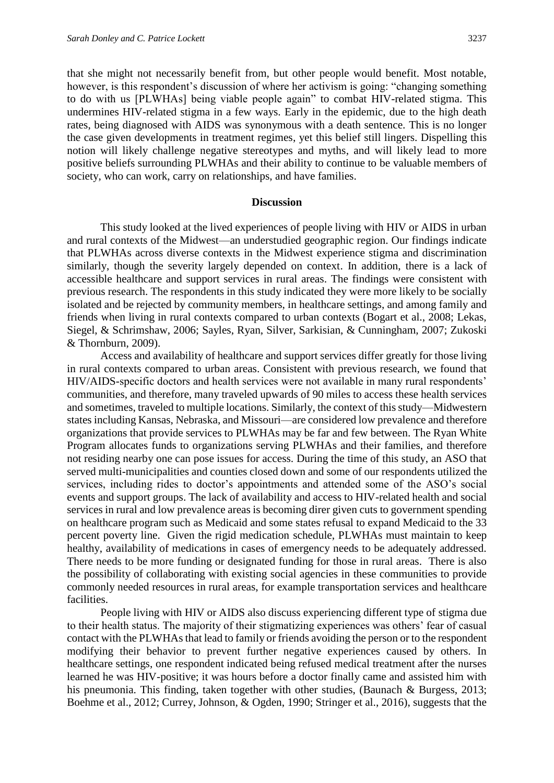that she might not necessarily benefit from, but other people would benefit. Most notable, however, is this respondent's discussion of where her activism is going: "changing something to do with us [PLWHAs] being viable people again" to combat HIV-related stigma. This undermines HIV-related stigma in a few ways. Early in the epidemic, due to the high death rates, being diagnosed with AIDS was synonymous with a death sentence. This is no longer the case given developments in treatment regimes, yet this belief still lingers. Dispelling this notion will likely challenge negative stereotypes and myths, and will likely lead to more positive beliefs surrounding PLWHAs and their ability to continue to be valuable members of society, who can work, carry on relationships, and have families.

#### **Discussion**

This study looked at the lived experiences of people living with HIV or AIDS in urban and rural contexts of the Midwest—an understudied geographic region. Our findings indicate that PLWHAs across diverse contexts in the Midwest experience stigma and discrimination similarly, though the severity largely depended on context. In addition, there is a lack of accessible healthcare and support services in rural areas. The findings were consistent with previous research. The respondents in this study indicated they were more likely to be socially isolated and be rejected by community members, in healthcare settings, and among family and friends when living in rural contexts compared to urban contexts (Bogart et al., 2008; Lekas, Siegel, & Schrimshaw, 2006; Sayles, Ryan, Silver, Sarkisian, & Cunningham, 2007; Zukoski & Thornburn, 2009).

Access and availability of healthcare and support services differ greatly for those living in rural contexts compared to urban areas. Consistent with previous research, we found that HIV/AIDS-specific doctors and health services were not available in many rural respondents' communities, and therefore, many traveled upwards of 90 miles to access these health services and sometimes, traveled to multiple locations. Similarly, the context of this study—Midwestern states including Kansas, Nebraska, and Missouri—are considered low prevalence and therefore organizations that provide services to PLWHAs may be far and few between. The Ryan White Program allocates funds to organizations serving PLWHAs and their families, and therefore not residing nearby one can pose issues for access. During the time of this study, an ASO that served multi-municipalities and counties closed down and some of our respondents utilized the services, including rides to doctor's appointments and attended some of the ASO's social events and support groups. The lack of availability and access to HIV-related health and social services in rural and low prevalence areas is becoming direr given cuts to government spending on healthcare program such as Medicaid and some states refusal to expand Medicaid to the 33 percent poverty line. Given the rigid medication schedule, PLWHAs must maintain to keep healthy, availability of medications in cases of emergency needs to be adequately addressed. There needs to be more funding or designated funding for those in rural areas. There is also the possibility of collaborating with existing social agencies in these communities to provide commonly needed resources in rural areas, for example transportation services and healthcare facilities.

People living with HIV or AIDS also discuss experiencing different type of stigma due to their health status. The majority of their stigmatizing experiences was others' fear of casual contact with the PLWHAs that lead to family or friends avoiding the person or to the respondent modifying their behavior to prevent further negative experiences caused by others. In healthcare settings, one respondent indicated being refused medical treatment after the nurses learned he was HIV-positive; it was hours before a doctor finally came and assisted him with his pneumonia. This finding, taken together with other studies, (Baunach & Burgess, 2013; Boehme et al., 2012; Currey, Johnson, & Ogden, 1990; Stringer et al., 2016), suggests that the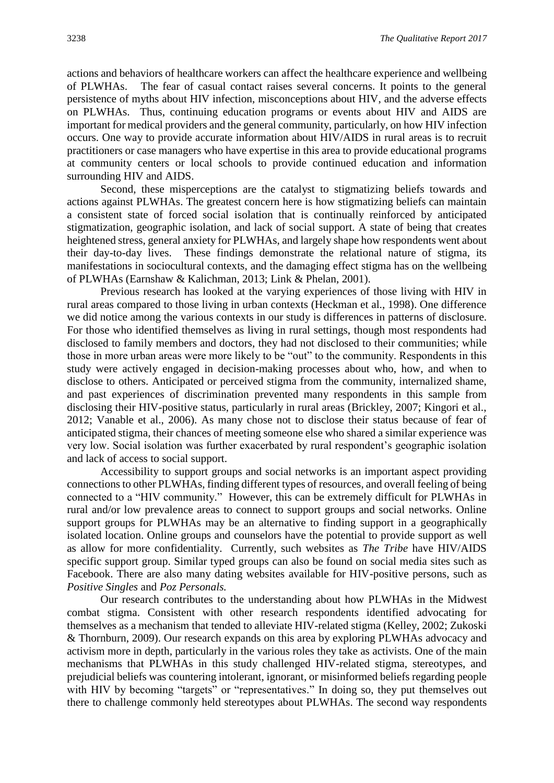actions and behaviors of healthcare workers can affect the healthcare experience and wellbeing of PLWHAs. The fear of casual contact raises several concerns. It points to the general persistence of myths about HIV infection, misconceptions about HIV, and the adverse effects on PLWHAs. Thus, continuing education programs or events about HIV and AIDS are important for medical providers and the general community, particularly, on how HIV infection occurs. One way to provide accurate information about HIV/AIDS in rural areas is to recruit practitioners or case managers who have expertise in this area to provide educational programs at community centers or local schools to provide continued education and information surrounding HIV and AIDS.

Second, these misperceptions are the catalyst to stigmatizing beliefs towards and actions against PLWHAs. The greatest concern here is how stigmatizing beliefs can maintain a consistent state of forced social isolation that is continually reinforced by anticipated stigmatization, geographic isolation, and lack of social support. A state of being that creates heightened stress, general anxiety for PLWHAs, and largely shape how respondents went about their day-to-day lives. These findings demonstrate the relational nature of stigma, its manifestations in sociocultural contexts, and the damaging effect stigma has on the wellbeing of PLWHAs (Earnshaw & Kalichman, 2013; Link & Phelan, 2001).

Previous research has looked at the varying experiences of those living with HIV in rural areas compared to those living in urban contexts (Heckman et al., 1998). One difference we did notice among the various contexts in our study is differences in patterns of disclosure. For those who identified themselves as living in rural settings, though most respondents had disclosed to family members and doctors, they had not disclosed to their communities; while those in more urban areas were more likely to be "out" to the community. Respondents in this study were actively engaged in decision-making processes about who, how, and when to disclose to others. Anticipated or perceived stigma from the community, internalized shame, and past experiences of discrimination prevented many respondents in this sample from disclosing their HIV-positive status, particularly in rural areas (Brickley, 2007; Kingori et al., 2012; Vanable et al., 2006). As many chose not to disclose their status because of fear of anticipated stigma, their chances of meeting someone else who shared a similar experience was very low. Social isolation was further exacerbated by rural respondent's geographic isolation and lack of access to social support.

Accessibility to support groups and social networks is an important aspect providing connections to other PLWHAs, finding different types of resources, and overall feeling of being connected to a "HIV community." However, this can be extremely difficult for PLWHAs in rural and/or low prevalence areas to connect to support groups and social networks. Online support groups for PLWHAs may be an alternative to finding support in a geographically isolated location. Online groups and counselors have the potential to provide support as well as allow for more confidentiality. Currently, such websites as *The Tribe* have HIV/AIDS specific support group. Similar typed groups can also be found on social media sites such as Facebook. There are also many dating websites available for HIV-positive persons, such as *Positive Singles* and *Poz Personals.*

Our research contributes to the understanding about how PLWHAs in the Midwest combat stigma. Consistent with other research respondents identified advocating for themselves as a mechanism that tended to alleviate HIV-related stigma (Kelley, 2002; Zukoski & Thornburn, 2009). Our research expands on this area by exploring PLWHAs advocacy and activism more in depth, particularly in the various roles they take as activists. One of the main mechanisms that PLWHAs in this study challenged HIV-related stigma, stereotypes, and prejudicial beliefs was countering intolerant, ignorant, or misinformed beliefs regarding people with HIV by becoming "targets" or "representatives." In doing so, they put themselves out there to challenge commonly held stereotypes about PLWHAs. The second way respondents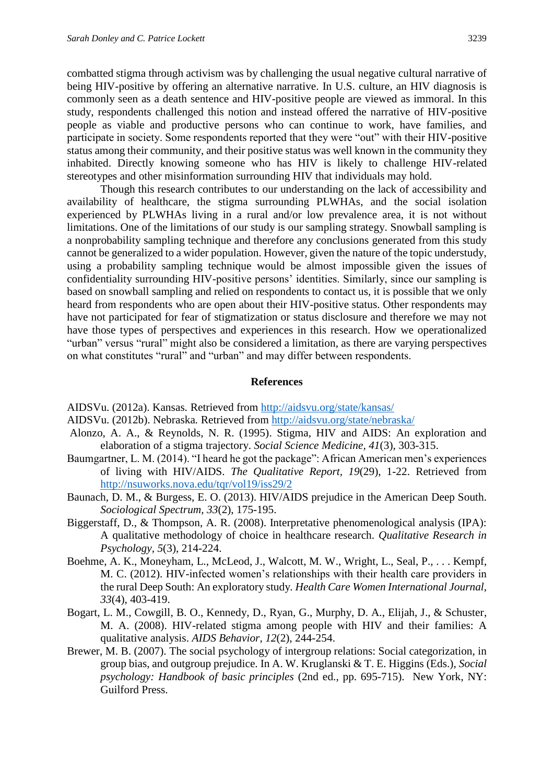combatted stigma through activism was by challenging the usual negative cultural narrative of being HIV-positive by offering an alternative narrative. In U.S. culture, an HIV diagnosis is commonly seen as a death sentence and HIV-positive people are viewed as immoral. In this study, respondents challenged this notion and instead offered the narrative of HIV-positive people as viable and productive persons who can continue to work, have families, and participate in society. Some respondents reported that they were "out" with their HIV-positive status among their community, and their positive status was well known in the community they inhabited. Directly knowing someone who has HIV is likely to challenge HIV-related stereotypes and other misinformation surrounding HIV that individuals may hold.

Though this research contributes to our understanding on the lack of accessibility and availability of healthcare, the stigma surrounding PLWHAs, and the social isolation experienced by PLWHAs living in a rural and/or low prevalence area, it is not without limitations. One of the limitations of our study is our sampling strategy. Snowball sampling is a nonprobability sampling technique and therefore any conclusions generated from this study cannot be generalized to a wider population. However, given the nature of the topic understudy, using a probability sampling technique would be almost impossible given the issues of confidentiality surrounding HIV-positive persons' identities. Similarly, since our sampling is based on snowball sampling and relied on respondents to contact us, it is possible that we only heard from respondents who are open about their HIV-positive status. Other respondents may have not participated for fear of stigmatization or status disclosure and therefore we may not have those types of perspectives and experiences in this research. How we operationalized "urban" versus "rural" might also be considered a limitation, as there are varying perspectives on what constitutes "rural" and "urban" and may differ between respondents.

#### **References**

AIDSVu. (2012a). Kansas*.* Retrieved from<http://aidsvu.org/state/kansas/>

- AIDSVu. (2012b). Nebraska*.* Retrieved from<http://aidsvu.org/state/nebraska/>
- Alonzo, A. A., & Reynolds, N. R. (1995). Stigma, HIV and AIDS: An exploration and elaboration of a stigma trajectory. *Social Science Medicine, 41*(3), 303-315.
- Baumgartner, L. M. (2014). "I heard he got the package": African American men's experiences of living with HIV/AIDS. *The Qualitative Report, 19*(29), 1-22. Retrieved from <http://nsuworks.nova.edu/tqr/vol19/iss29/2>
- Baunach, D. M., & Burgess, E. O. (2013). HIV/AIDS prejudice in the American Deep South. *Sociological Spectrum, 33*(2), 175-195.
- Biggerstaff, D., & Thompson, A. R. (2008). Interpretative phenomenological analysis (IPA): A qualitative methodology of choice in healthcare research. *Qualitative Research in Psychology, 5*(3), 214-224.
- Boehme, A. K., Moneyham, L., McLeod, J., Walcott, M. W., Wright, L., Seal, P., . . . Kempf, M. C. (2012). HIV-infected women's relationships with their health care providers in the rural Deep South: An exploratory study*. Health Care Women International Journal, 33*(4), 403-419.
- Bogart, L. M., Cowgill, B. O., Kennedy, D., Ryan, G., Murphy, D. A., Elijah, J., & Schuster, M. A. (2008). HIV-related stigma among people with HIV and their families: A qualitative analysis. *AIDS Behavior, 12*(2), 244-254.
- Brewer, M. B. (2007). The social psychology of intergroup relations: Social categorization, in group bias, and outgroup prejudice. In A. W. Kruglanski & T. E. Higgins (Eds.), *Social psychology: Handbook of basic principles* (2nd ed., pp. 695-715). New York, NY: Guilford Press.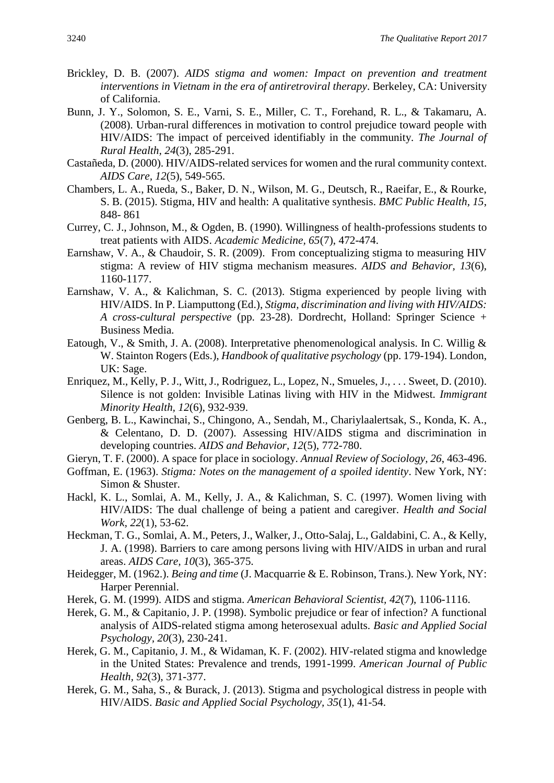- Brickley, D. B. (2007). *AIDS stigma and women: Impact on prevention and treatment interventions in Vietnam in the era of antiretroviral therapy*. Berkeley, CA: University of California.
- Bunn, J. Y., Solomon, S. E., Varni, S. E., Miller, C. T., Forehand, R. L., & Takamaru, A. (2008). Urban-rural differences in motivation to control prejudice toward people with HIV/AIDS: The impact of perceived identifiably in the community. *The Journal of Rural Health, 24*(3), 285-291.
- Castañeda, D. (2000). HIV/AIDS-related services for women and the rural community context. *AIDS Care, 12*(5), 549-565.
- Chambers, L. A., Rueda, S., Baker, D. N., Wilson, M. G., Deutsch, R., Raeifar, E., & Rourke, S. B. (2015). Stigma, HIV and health: A qualitative synthesis. *BMC Public Health, 15*, 848- 861
- Currey, C. J., Johnson, M., & Ogden, B. (1990). Willingness of health-professions students to treat patients with AIDS. *Academic Medicine, 65*(7), 472-474.
- Earnshaw, V. A., & Chaudoir, S. R. (2009). From conceptualizing stigma to measuring HIV stigma: A review of HIV stigma mechanism measures. *AIDS and Behavior, 13*(6), 1160-1177.
- Earnshaw, V. A., & Kalichman, S. C. (2013). Stigma experienced by people living with HIV/AIDS. In P. Liamputtong (Ed.), *Stigma, discrimination and living with HIV/AIDS: A cross-cultural perspective* (pp. 23-28). Dordrecht, Holland: Springer Science + Business Media.
- Eatough, V., & Smith, J. A. (2008). Interpretative phenomenological analysis. In C. Willig & W. Stainton Rogers (Eds.), *Handbook of qualitative psychology* (pp. 179-194). London, UK: Sage.
- Enriquez, M., Kelly, P. J., Witt, J., Rodriguez, L., Lopez, N., Smueles, J., . . . Sweet, D. (2010). Silence is not golden: Invisible Latinas living with HIV in the Midwest. *Immigrant Minority Health, 12*(6), 932-939.
- Genberg, B. L., Kawinchai, S., Chingono, A., Sendah, M., Chariylaalertsak, S., Konda, K. A., & Celentano, D. D. (2007). Assessing HIV/AIDS stigma and discrimination in developing countries. *AIDS and Behavior, 12*(5), 772-780.

Gieryn, T. F. (2000). A space for place in sociology. *Annual Review of Sociology, 26*, 463-496.

- Goffman, E. (1963). *Stigma: Notes on the management of a spoiled identity*. New York, NY: Simon & Shuster.
- Hackl, K. L., Somlai, A. M., Kelly, J. A., & Kalichman, S. C. (1997). Women living with HIV/AIDS: The dual challenge of being a patient and caregiver. *Health and Social Work, 22*(1), 53-62.
- Heckman, T. G., Somlai, A. M., Peters, J., Walker, J., Otto-Salaj, L., Galdabini, C. A., & Kelly, J. A. (1998). Barriers to care among persons living with HIV/AIDS in urban and rural areas. *AIDS Care, 10*(3), 365-375.
- Heidegger, M. (1962.). *Being and time* (J. Macquarrie & E. Robinson, Trans.). New York, NY: Harper Perennial.
- Herek, G. M. (1999). AIDS and stigma. *American Behavioral Scientist, 42*(7), 1106-1116.
- Herek, G. M., & Capitanio, J. P. (1998). Symbolic prejudice or fear of infection? A functional analysis of AIDS-related stigma among heterosexual adults. *Basic and Applied Social Psychology, 20*(3), 230-241.
- Herek, G. M., Capitanio, J. M., & Widaman, K. F. (2002). HIV-related stigma and knowledge in the United States: Prevalence and trends, 1991-1999. *American Journal of Public Health, 92*(3), 371-377.
- Herek, G. M., Saha, S., & Burack, J. (2013). Stigma and psychological distress in people with HIV/AIDS. *Basic and Applied Social Psychology, 35*(1), 41-54.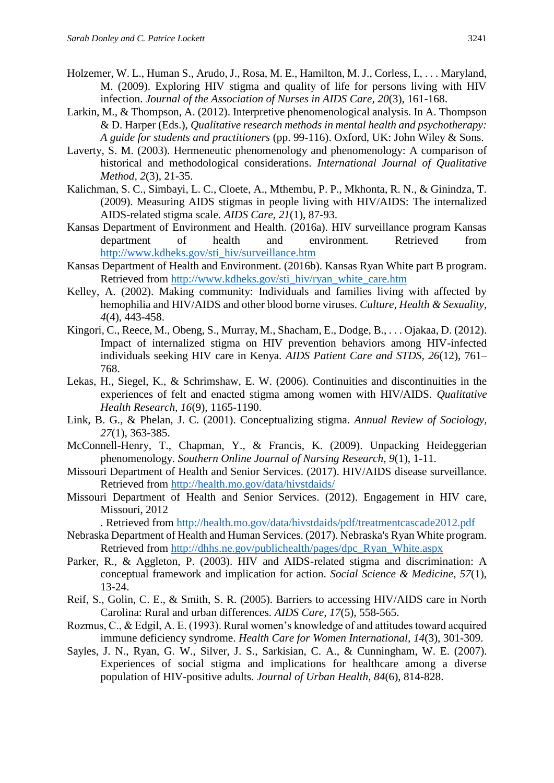- Holzemer, W. L., Human S., Arudo, J., Rosa, M. E., Hamilton, M. J., Corless, I., . . . Maryland, M. (2009). Exploring HIV stigma and quality of life for persons living with HIV infection. *Journal of the Association of Nurses in AIDS Care, 20*(3), 161-168.
- Larkin, M., & Thompson, A. (2012). Interpretive phenomenological analysis. In A. Thompson & D. Harper (Eds.), *Qualitative research methods in mental health and psychotherapy: A guide for students and practitioners* (pp. 99-116). Oxford, UK: John Wiley & Sons.
- Laverty, S. M. (2003). Hermeneutic phenomenology and phenomenology: A comparison of historical and methodological considerations. *International Journal of Qualitative Method, 2*(3), 21-35.
- Kalichman, S. C., Simbayi, L. C., Cloete, A., Mthembu, P. P., Mkhonta, R. N., & Ginindza, T. (2009). Measuring AIDS stigmas in people living with HIV/AIDS: The internalized AIDS-related stigma scale. *AIDS Care, 21*(1), 87-93.
- Kansas Department of Environment and Health. (2016a). HIV surveillance program Kansas department of health and environment. Retrieved from [http://www.kdheks.gov/sti\\_hiv/surveillance.htm](http://www.kdheks.gov/sti_hiv/surveillance.htm)
- Kansas Department of Health and Environment. (2016b). Kansas Ryan White part B program. Retrieved from [http://www.kdheks.gov/sti\\_hiv/ryan\\_white\\_care.htm](http://www.kdheks.gov/sti_hiv/ryan_white_care.htm)
- Kelley, A. (2002). Making community: Individuals and families living with affected by hemophilia and HIV/AIDS and other blood borne viruses. *Culture, Health & Sexuality, 4*(4), 443-458.
- Kingori, C., Reece, M., Obeng, S., Murray, M., Shacham, E., Dodge, B., . . . Ojakaa, D. (2012). Impact of internalized stigma on HIV prevention behaviors among HIV-infected individuals seeking HIV care in Kenya*. AIDS Patient Care and STDS, 26*(12), 761– 768.
- Lekas, H., Siegel, K., & Schrimshaw, E. W. (2006). Continuities and discontinuities in the experiences of felt and enacted stigma among women with HIV/AIDS. *Qualitative Health Research, 16*(9), 1165-1190.
- Link, B. G., & Phelan, J. C. (2001). Conceptualizing stigma. *Annual Review of Sociology, 27*(1), 363-385.
- McConnell-Henry, T., Chapman, Y., & Francis, K. (2009). Unpacking Heideggerian phenomenology. *Southern Online Journal of Nursing Research, 9*(1), 1-11.
- Missouri Department of Health and Senior Services. (2017). HIV/AIDS disease surveillance. Retrieved from<http://health.mo.gov/data/hivstdaids/>
- Missouri Department of Health and Senior Services. (2012). Engagement in HIV care, Missouri, 2012

*.* Retrieved from http://health.mo.gov/data/hivstdaids/pdf/treatmentcascade2012.pdf

- Nebraska Department of Health and Human Services. (2017). Nebraska's Ryan White program. Retrieved from [http://dhhs.ne.gov/publichealth/pages/dpc\\_Ryan\\_White.aspx](http://dhhs.ne.gov/publichealth/pages/dpc_Ryan_White.aspx)
- Parker, R., & Aggleton, P. (2003). HIV and AIDS-related stigma and discrimination: A conceptual framework and implication for action. *Social Science & Medicine, 57*(1), 13-24.
- Reif, S., Golin, C. E., & Smith, S. R. (2005). Barriers to accessing HIV/AIDS care in North Carolina: Rural and urban differences. *AIDS Care, 17*(5), 558-565.
- Rozmus, C., & Edgil, A. E. (1993). Rural women's knowledge of and attitudes toward acquired immune deficiency syndrome. *Health Care for Women International, 14*(3), 301-309.
- Sayles, J. N., Ryan, G. W., Silver, J. S., Sarkisian, C. A., & Cunningham, W. E. (2007). Experiences of social stigma and implications for healthcare among a diverse population of HIV-positive adults. *Journal of Urban Health, 84*(6), 814-828.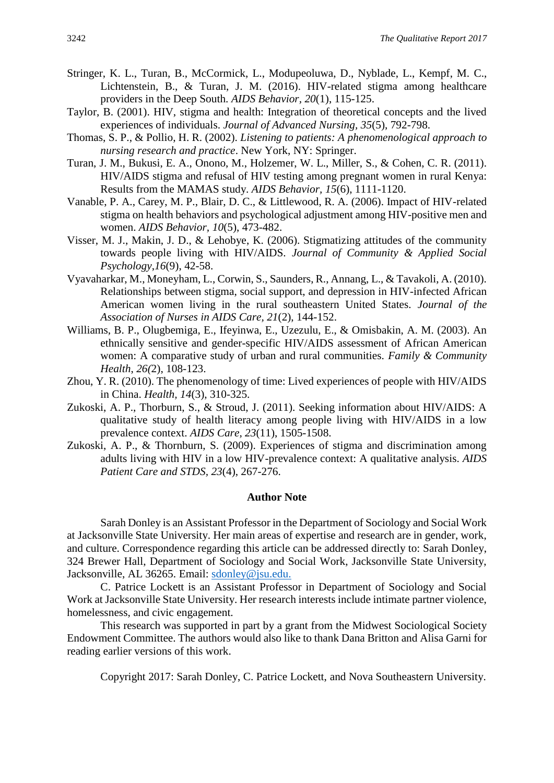- Stringer, K. L., Turan, B., McCormick, L., Modupeoluwa, D., Nyblade, L., Kempf, M. C., Lichtenstein, B., & Turan, J. M. (2016). HIV-related stigma among healthcare providers in the Deep South. *AIDS Behavior, 20*(1), 115-125.
- Taylor, B. (2001). HIV, stigma and health: Integration of theoretical concepts and the lived experiences of individuals. *Journal of Advanced Nursing, 35*(5), 792-798.
- Thomas, S. P., & Pollio, H. R. (2002). *Listening to patients: A phenomenological approach to nursing research and practice*. New York, NY: Springer.
- Turan, J. M., Bukusi, E. A., Onono, M., Holzemer, W. L., Miller, S., & Cohen, C. R. (2011). HIV/AIDS stigma and refusal of HIV testing among pregnant women in rural Kenya: Results from the MAMAS study. *AIDS Behavior, 15*(6), 1111-1120.
- Vanable, P. A., Carey, M. P., Blair, D. C., & Littlewood, R. A. (2006). Impact of HIV-related stigma on health behaviors and psychological adjustment among HIV-positive men and women. *AIDS Behavior, 10*(5), 473-482.
- Visser, M. J., Makin, J. D., & Lehobye, K. (2006). Stigmatizing attitudes of the community towards people living with HIV/AIDS. *Journal of Community & Applied Social Psychology*,*16*(9), 42-58.
- Vyavaharkar, M., Moneyham, L., Corwin, S., Saunders, R., Annang, L., & Tavakoli, A. (2010). Relationships between stigma, social support, and depression in HIV-infected African American women living in the rural southeastern United States. *Journal of the Association of Nurses in AIDS Care, 21*(2), 144-152.
- Williams, B. P., Olugbemiga, E., Ifeyinwa, E., Uzezulu, E., & Omisbakin, A. M. (2003). An ethnically sensitive and gender-specific HIV/AIDS assessment of African American women: A comparative study of urban and rural communities. *Family & Community Health*, *26(*2), 108-123.
- Zhou, Y. R. (2010). The phenomenology of time: Lived experiences of people with HIV/AIDS in China. *Health, 14*(3), 310-325.
- Zukoski, A. P., Thorburn, S., & Stroud, J. (2011). Seeking information about HIV/AIDS: A qualitative study of health literacy among people living with HIV/AIDS in a low prevalence context. *AIDS Care, 23*(11), 1505-1508.
- Zukoski, A. P., & Thornburn, S. (2009). Experiences of stigma and discrimination among adults living with HIV in a low HIV-prevalence context: A qualitative analysis. *AIDS Patient Care and STDS, 23*(4), 267-276.

#### **Author Note**

Sarah Donley is an Assistant Professor in the Department of Sociology and Social Work at Jacksonville State University. Her main areas of expertise and research are in gender, work, and culture. Correspondence regarding this article can be addressed directly to: Sarah Donley, 324 Brewer Hall, Department of Sociology and Social Work, Jacksonville State University, Jacksonville, AL 36265. Email: [sdonley@jsu.edu.](mailto:sdonley@jsu.edu)

C. Patrice Lockett is an Assistant Professor in Department of Sociology and Social Work at Jacksonville State University. Her research interests include intimate partner violence, homelessness, and civic engagement.

This research was supported in part by a grant from the Midwest Sociological Society Endowment Committee. The authors would also like to thank Dana Britton and Alisa Garni for reading earlier versions of this work.

Copyright 2017: Sarah Donley, C. Patrice Lockett, and Nova Southeastern University.